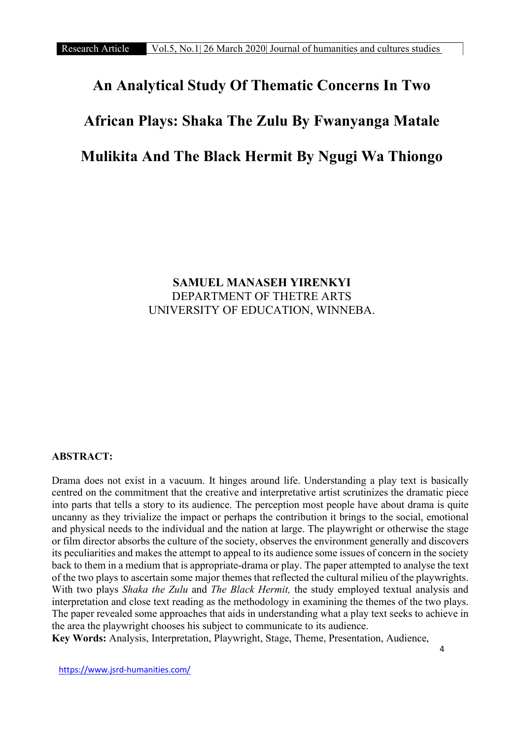# An Analytical Study Of Thematic Concerns In Two

# African Plays: Shaka The Zulu By Fwanyanga Matale

# Mulikita And The Black Hermit By Ngugi Wa Thiongo

# SAMUEL MANASEH YIRENKYI DEPARTMENT OF THETRE ARTS UNIVERSITY OF EDUCATION, WINNEBA.

#### ABSTRACT:

Drama does not exist in a vacuum. It hinges around life. Understanding a play text is basically centred on the commitment that the creative and interpretative artist scrutinizes the dramatic piece into parts that tells a story to its audience. The perception most people have about drama is quite uncanny as they trivialize the impact or perhaps the contribution it brings to the social, emotional and physical needs to the individual and the nation at large. The playwright or otherwise the stage or film director absorbs the culture of the society, observes the environment generally and discovers its peculiarities and makes the attempt to appeal to its audience some issues of concern in the society back to them in a medium that is appropriate-drama or play. The paper attempted to analyse the text of the two plays to ascertain some major themes that reflected the cultural milieu of the playwrights. With two plays Shaka the Zulu and The Black Hermit, the study employed textual analysis and interpretation and close text reading as the methodology in examining the themes of the two plays. The paper revealed some approaches that aids in understanding what a play text seeks to achieve in the area the playwright chooses his subject to communicate to its audience.

Key Words: Analysis, Interpretation, Playwright, Stage, Theme, Presentation, Audience,

https://www.jsrd-humanities.com/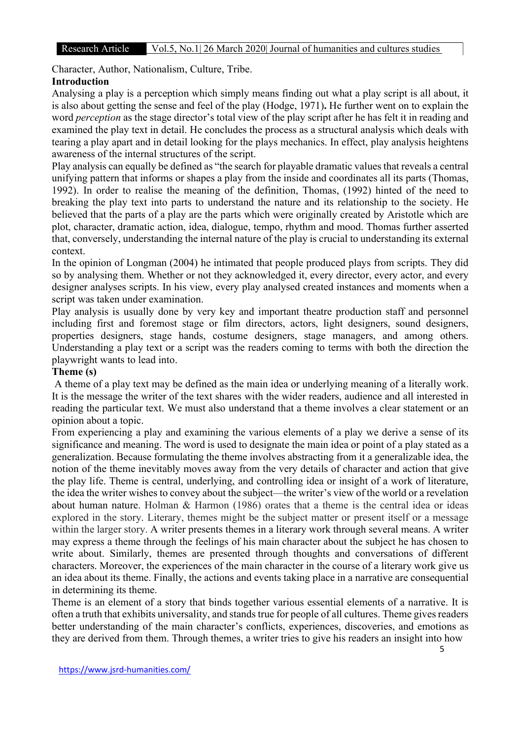R&D Character, Author, Nationalism, Culture, Tribe.

# Introduction

Analysing a play is a perception which simply means finding out what a play script is all about, it is also about getting the sense and feel of the play (Hodge, 1971). He further went on to explain the word *perception* as the stage director's total view of the play script after he has felt it in reading and examined the play text in detail. He concludes the process as a structural analysis which deals with tearing a play apart and in detail looking for the plays mechanics. In effect, play analysis heightens awareness of the internal structures of the script.

Play analysis can equally be defined as "the search for playable dramatic values that reveals a central unifying pattern that informs or shapes a play from the inside and coordinates all its parts (Thomas, 1992). In order to realise the meaning of the definition, Thomas, (1992) hinted of the need to breaking the play text into parts to understand the nature and its relationship to the society. He believed that the parts of a play are the parts which were originally created by Aristotle which are plot, character, dramatic action, idea, dialogue, tempo, rhythm and mood. Thomas further asserted that, conversely, understanding the internal nature of the play is crucial to understanding its external context.

In the opinion of Longman (2004) he intimated that people produced plays from scripts. They did so by analysing them. Whether or not they acknowledged it, every director, every actor, and every designer analyses scripts. In his view, every play analysed created instances and moments when a script was taken under examination.

Play analysis is usually done by very key and important theatre production staff and personnel including first and foremost stage or film directors, actors, light designers, sound designers, properties designers, stage hands, costume designers, stage managers, and among others. Understanding a play text or a script was the readers coming to terms with both the direction the playwright wants to lead into.

#### Theme (s)

 A theme of a play text may be defined as the main idea or underlying meaning of a literally work. It is the message the writer of the text shares with the wider readers, audience and all interested in reading the particular text. We must also understand that a theme involves a clear statement or an opinion about a topic.

From experiencing a play and examining the various elements of a play we derive a sense of its significance and meaning. The word is used to designate the main idea or point of a play stated as a generalization. Because formulating the theme involves abstracting from it a generalizable idea, the notion of the theme inevitably moves away from the very details of character and action that give the play life. Theme is central, underlying, and controlling idea or insight of a work of literature, the idea the writer wishes to convey about the subject—the writer's view of the world or a revelation about human nature. Holman & Harmon (1986) orates that a theme is the central idea or ideas explored in the story. Literary, themes might be the subject matter or present itself or a message within the larger story. A writer presents themes in a literary work through several means. A writer may express a theme through the feelings of his main character about the subject he has chosen to write about. Similarly, themes are presented through thoughts and conversations of different characters. Moreover, the experiences of the main character in the course of a literary work give us an idea about its theme. Finally, the actions and events taking place in a narrative are consequential in determining its theme.

Theme is an element of a story that binds together various essential elements of a narrative. It is often a truth that exhibits universality, and stands true for people of all cultures. Theme gives readers better understanding of the main character's conflicts, experiences, discoveries, and emotions as they are derived from them. Through themes, a writer tries to give his readers an insight into how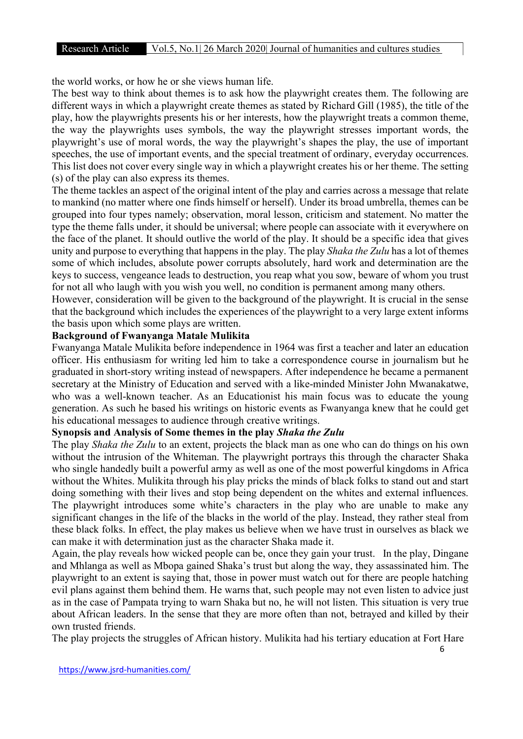the world works, or how he or she views human life.

The best way to think about themes is to ask how the playwright creates them. The following are different ways in which a playwright create themes as stated by Richard Gill (1985), the title of the play, how the playwrights presents his or her interests, how the playwright treats a common theme, the way the playwrights uses symbols, the way the playwright stresses important words, the playwright's use of moral words, the way the playwright's shapes the play, the use of important speeches, the use of important events, and the special treatment of ordinary, everyday occurrences. This list does not cover every single way in which a playwright creates his or her theme. The setting (s) of the play can also express its themes.

The theme tackles an aspect of the original intent of the play and carries across a message that relate to mankind (no matter where one finds himself or herself). Under its broad umbrella, themes can be grouped into four types namely; observation, moral lesson, criticism and statement. No matter the type the theme falls under, it should be universal; where people can associate with it everywhere on the face of the planet. It should outlive the world of the play. It should be a specific idea that gives unity and purpose to everything that happens in the play. The play Shaka the Zulu has a lot of themes some of which includes, absolute power corrupts absolutely, hard work and determination are the keys to success, vengeance leads to destruction, you reap what you sow, beware of whom you trust for not all who laugh with you wish you well, no condition is permanent among many others.

However, consideration will be given to the background of the playwright. It is crucial in the sense that the background which includes the experiences of the playwright to a very large extent informs the basis upon which some plays are written.

#### Background of Fwanyanga Matale Mulikita

Fwanyanga Matale Mulikita before independence in 1964 was first a teacher and later an education officer. His enthusiasm for writing led him to take a correspondence course in journalism but he graduated in short-story writing instead of newspapers. After independence he became a permanent secretary at the Ministry of Education and served with a like-minded Minister John Mwanakatwe, who was a well-known teacher. As an Educationist his main focus was to educate the young generation. As such he based his writings on historic events as Fwanyanga knew that he could get his educational messages to audience through creative writings.

# Synopsis and Analysis of Some themes in the play Shaka the Zulu

The play *Shaka the Zulu* to an extent, projects the black man as one who can do things on his own without the intrusion of the Whiteman. The playwright portrays this through the character Shaka who single handedly built a powerful army as well as one of the most powerful kingdoms in Africa without the Whites. Mulikita through his play pricks the minds of black folks to stand out and start doing something with their lives and stop being dependent on the whites and external influences. The playwright introduces some white's characters in the play who are unable to make any significant changes in the life of the blacks in the world of the play. Instead, they rather steal from these black folks. In effect, the play makes us believe when we have trust in ourselves as black we can make it with determination just as the character Shaka made it.

Again, the play reveals how wicked people can be, once they gain your trust. In the play, Dingane and Mhlanga as well as Mbopa gained Shaka's trust but along the way, they assassinated him. The playwright to an extent is saying that, those in power must watch out for there are people hatching evil plans against them behind them. He warns that, such people may not even listen to advice just as in the case of Pampata trying to warn Shaka but no, he will not listen. This situation is very true about African leaders. In the sense that they are more often than not, betrayed and killed by their own trusted friends.

The play projects the struggles of African history. Mulikita had his tertiary education at Fort Hare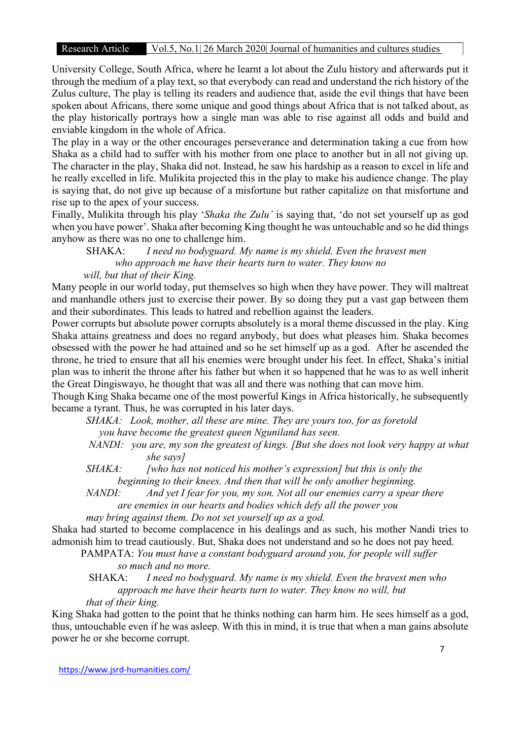# Research Article Vol.5, No.1 26 March 2020 Journal of humanities and cultures studies

R&D University College, South Africa, where he learnt a lot about the Zulu history and afterwards put it through the medium of a play text, so that everybody can read and understand the rich history of the Zulus culture, The play is telling its readers and audience that, aside the evil things that have been spoken about Africans, there some unique and good things about Africa that is not talked about, as the play historically portrays how a single man was able to rise against all odds and build and enviable kingdom in the whole of Africa.

The play in a way or the other encourages perseverance and determination taking a cue from how Shaka as a child had to suffer with his mother from one place to another but in all not giving up. The character in the play, Shaka did not. Instead, he saw his hardship as a reason to excel in life and he really excelled in life. Mulikita projected this in the play to make his audience change. The play is saying that, do not give up because of a misfortune but rather capitalize on that misfortune and rise up to the apex of your success.

Finally, Mulikita through his play 'Shaka the Zulu' is saying that, 'do not set yourself up as god when you have power'. Shaka after becoming King thought he was untouchable and so he did things anyhow as there was no one to challenge him.

SHAKA: I need no bodyguard. My name is my shield. Even the bravest men who approach me have their hearts turn to water. They know no

will, but that of their King.

Many people in our world today, put themselves so high when they have power. They will maltreat and manhandle others just to exercise their power. By so doing they put a vast gap between them and their subordinates. This leads to hatred and rebellion against the leaders.

Power corrupts but absolute power corrupts absolutely is a moral theme discussed in the play. King Shaka attains greatness and does no regard anybody, but does what pleases him. Shaka becomes obsessed with the power he had attained and so he set himself up as a god. After he ascended the throne, he tried to ensure that all his enemies were brought under his feet. In effect, Shaka's initial plan was to inherit the throne after his father but when it so happened that he was to as well inherit the Great Dingiswayo, he thought that was all and there was nothing that can move him.

Though King Shaka became one of the most powerful Kings in Africa historically, he subsequently became a tyrant. Thus, he was corrupted in his later days.

 SHAKA: Look, mother, all these are mine. They are yours too, for as foretold you have become the greatest queen Nguniland has seen.

- NANDI: you are, my son the greatest of kings. [But she does not look very happy at what she says]
- $SHAKA:$  [who has not noticed his mother's expression] but this is only the beginning to their knees. And then that will be only another beginning.
- NANDI: And yet I fear for you, my son. Not all our enemies carry a spear there are enemies in our hearts and bodies which defy all the power you

may bring against them. Do not set yourself up as a god.

Shaka had started to become complacence in his dealings and as such, his mother Nandi tries to admonish him to tread cautiously. But, Shaka does not understand and so he does not pay heed.

 PAMPATA: You must have a constant bodyguard around you, for people will suffer so much and no more.

SHAKA: *I need no bodyguard. My name is my shield. Even the bravest men who*  approach me have their hearts turn to water. They know no will, but that of their king.

King Shaka had gotten to the point that he thinks nothing can harm him. He sees himself as a god, thus, untouchable even if he was asleep. With this in mind, it is true that when a man gains absolute power he or she become corrupt.

https://www.jsrd-humanities.com/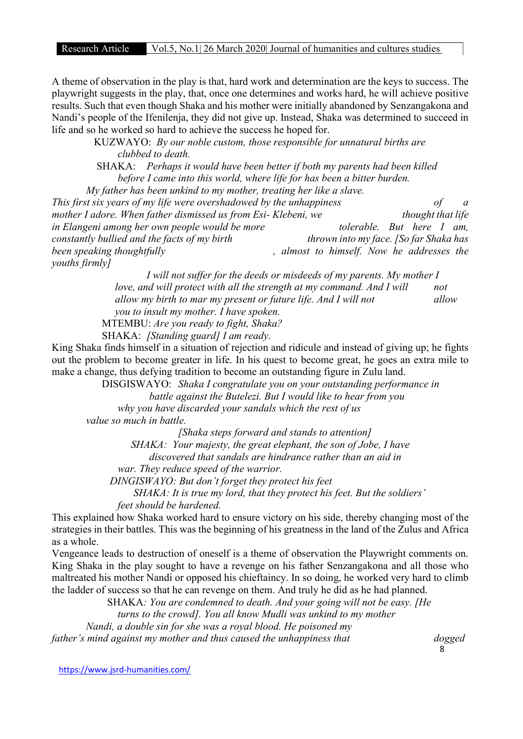A theme of observation in the play is that, hard work and determination are the keys to success. The playwright suggests in the play, that, once one determines and works hard, he will achieve positive results. Such that even though Shaka and his mother were initially abandoned by Senzangakona and Nandi's people of the Ifenilenja, they did not give up. Instead, Shaka was determined to succeed in life and so he worked so hard to achieve the success he hoped for.

> KUZWAYO: By our noble custom, those responsible for unnatural births are clubbed to death.

 SHAKA: Perhaps it would have been better if both my parents had been killed before I came into this world, where life for has been a bitter burden.

 My father has been unkind to my mother, treating her like a slave. This first six years of my life were overshadowed by the unhappiness of a mother I adore. When father dismissed us from Esi- Klebeni, we thought that life in Elangeni among her own people would be more that the enderghed. But here I am, constantly bullied and the facts of my birth thrown into my face. [So far Shaka has been speaking thoughtfully exactled been speaking thoughtfully been speaking thoughtfully youths firmly]

> I will not suffer for the deeds or misdeeds of my parents. My mother I love, and will protect with all the strength at my command. And I will not allow my birth to mar my present or future life. And I will not allow you to insult my mother. I have spoken.

MTEMBU: Are you ready to fight, Shaka?

SHAKA: [Standing guard] I am ready.

King Shaka finds himself in a situation of rejection and ridicule and instead of giving up; he fights out the problem to become greater in life. In his quest to become great, he goes an extra mile to make a change, thus defying tradition to become an outstanding figure in Zulu land.

> DISGISWAYO: Shaka I congratulate you on your outstanding performance in battle against the Butelezi. But I would like to hear from you why you have discarded your sandals which the rest of us

value so much in battle.

[Shaka steps forward and stands to attention]

 SHAKA: Your majesty, the great elephant, the son of Jobe, I have discovered that sandals are hindrance rather than an aid in war. They reduce speed of the warrior.

DINGISWAYO: But don't forget they protect his feet

SHAKA: It is true my lord, that they protect his feet. But the soldiers'

feet should be hardened.

This explained how Shaka worked hard to ensure victory on his side, thereby changing most of the strategies in their battles. This was the beginning of his greatness in the land of the Zulus and Africa as a whole.

Vengeance leads to destruction of oneself is a theme of observation the Playwright comments on. King Shaka in the play sought to have a revenge on his father Senzangakona and all those who maltreated his mother Nandi or opposed his chieftaincy. In so doing, he worked very hard to climb the ladder of success so that he can revenge on them. And truly he did as he had planned.

> SHAKA: You are condemned to death. And your going will not be easy. [He turns to the crowd]. You all know Mudli was unkind to my mother

Nandi, a double sin for she was a royal blood. He poisoned my

father's mind against my mother and thus caused the unhappiness that dogged

8

https://www.jsrd-humanities.com/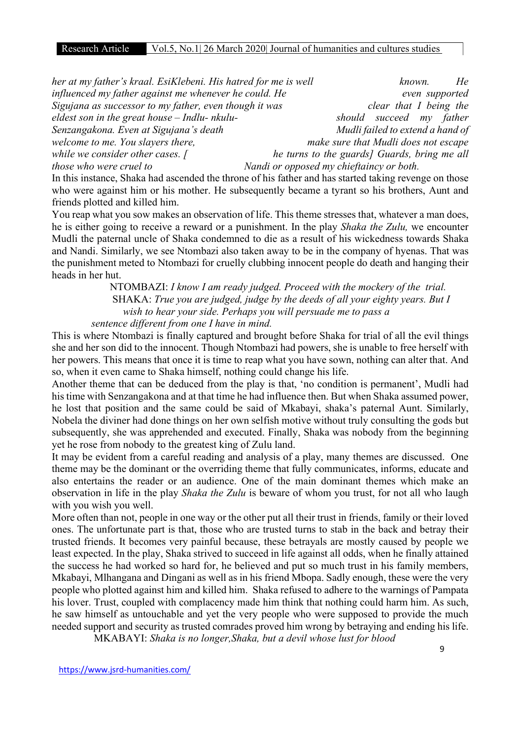| her at my father's kraal. EsiKlebeni. His hatred for me is well |                                              |                                      | known. | He             |
|-----------------------------------------------------------------|----------------------------------------------|--------------------------------------|--------|----------------|
| influenced my father against me whenever he could. He           |                                              |                                      |        | even supported |
| Sigujana as successor to my father, even though it was          |                                              | clear that I being the               |        |                |
| eldest son in the great house $-$ Indlu-nkulu-                  |                                              | should succeed my father             |        |                |
| Senzangakona. Even at Sigujana's death                          |                                              | Mudli failed to extend a hand of     |        |                |
| welcome to me. You slayers there,                               |                                              | make sure that Mudli does not escape |        |                |
| while we consider other cases. $\int$                           | he turns to the guards] Guards, bring me all |                                      |        |                |
| those who were cruel to                                         | Nandi or opposed my chieftaincy or both.     |                                      |        |                |

In this instance, Shaka had ascended the throne of his father and has started taking revenge on those who were against him or his mother. He subsequently became a tyrant so his brothers, Aunt and friends plotted and killed him.

You reap what you sow makes an observation of life. This theme stresses that, whatever a man does, he is either going to receive a reward or a punishment. In the play Shaka the Zulu, we encounter Mudli the paternal uncle of Shaka condemned to die as a result of his wickedness towards Shaka and Nandi. Similarly, we see Ntombazi also taken away to be in the company of hyenas. That was the punishment meted to Ntombazi for cruelly clubbing innocent people do death and hanging their heads in her hut.

 NTOMBAZI: I know I am ready judged. Proceed with the mockery of the trial. SHAKA: True you are judged, judge by the deeds of all your eighty years. But I wish to hear your side. Perhaps you will persuade me to pass a sentence different from one I have in mind.

This is where Ntombazi is finally captured and brought before Shaka for trial of all the evil things she and her son did to the innocent. Though Ntombazi had powers, she is unable to free herself with her powers. This means that once it is time to reap what you have sown, nothing can alter that. And so, when it even came to Shaka himself, nothing could change his life.

Another theme that can be deduced from the play is that, 'no condition is permanent', Mudli had his time with Senzangakona and at that time he had influence then. But when Shaka assumed power, he lost that position and the same could be said of Mkabayi, shaka's paternal Aunt. Similarly, Nobela the diviner had done things on her own selfish motive without truly consulting the gods but subsequently, she was apprehended and executed. Finally, Shaka was nobody from the beginning yet he rose from nobody to the greatest king of Zulu land.

It may be evident from a careful reading and analysis of a play, many themes are discussed. One theme may be the dominant or the overriding theme that fully communicates, informs, educate and also entertains the reader or an audience. One of the main dominant themes which make an observation in life in the play *Shaka the Zulu* is beware of whom you trust, for not all who laugh with you wish you well.

More often than not, people in one way or the other put all their trust in friends, family or their loved ones. The unfortunate part is that, those who are trusted turns to stab in the back and betray their trusted friends. It becomes very painful because, these betrayals are mostly caused by people we least expected. In the play, Shaka strived to succeed in life against all odds, when he finally attained the success he had worked so hard for, he believed and put so much trust in his family members, Mkabayi, Mlhangana and Dingani as well as in his friend Mbopa. Sadly enough, these were the very people who plotted against him and killed him. Shaka refused to adhere to the warnings of Pampata his lover. Trust, coupled with complacency made him think that nothing could harm him. As such, he saw himself as untouchable and yet the very people who were supposed to provide the much needed support and security as trusted comrades proved him wrong by betraying and ending his life.

MKABAYI: Shaka is no longer,Shaka, but a devil whose lust for blood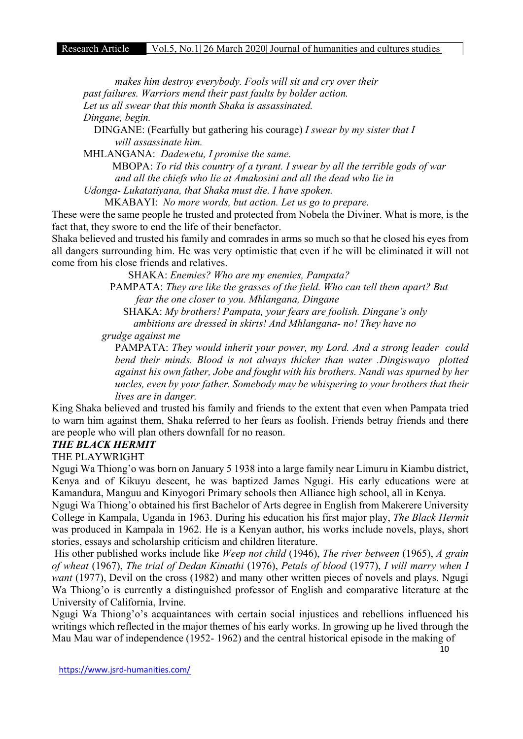makes him destroy everybody. Fools will sit and cry over their past failures. Warriors mend their past faults by bolder action. Let us all swear that this month Shaka is assassinated. Dingane, begin.

DINGANE: (Fearfully but gathering his courage) I swear by my sister that I will assassinate him.

MHLANGANA: Dadewetu, I promise the same.

 MBOPA: To rid this country of a tyrant. I swear by all the terrible gods of war and all the chiefs who lie at Amakosini and all the dead who lie in

Udonga- Lukatatiyana, that Shaka must die. I have spoken.

MKABAYI: No more words, but action. Let us go to prepare.

These were the same people he trusted and protected from Nobela the Diviner. What is more, is the fact that, they swore to end the life of their benefactor.

Shaka believed and trusted his family and comrades in arms so much so that he closed his eyes from all dangers surrounding him. He was very optimistic that even if he will be eliminated it will not come from his close friends and relatives.

SHAKA: Enemies? Who are my enemies, Pampata?

 PAMPATA: They are like the grasses of the field. Who can tell them apart? But fear the one closer to you. Mhlangana, Dingane

 SHAKA: My brothers! Pampata, your fears are foolish. Dingane's only ambitions are dressed in skirts! And Mhlangana- no! They have no

grudge against me

PAMPATA: They would inherit your power, my Lord. And a strong leader could bend their minds. Blood is not always thicker than water .Dingiswayo plotted against his own father, Jobe and fought with his brothers. Nandi was spurned by her uncles, even by your father. Somebody may be whispering to your brothers that their lives are in danger.

King Shaka believed and trusted his family and friends to the extent that even when Pampata tried to warn him against them, Shaka referred to her fears as foolish. Friends betray friends and there are people who will plan others downfall for no reason.

### THE BLACK HERMIT

THE PLAYWRIGHT

Ngugi Wa Thiong'o was born on January 5 1938 into a large family near Limuru in Kiambu district, Kenya and of Kikuyu descent, he was baptized James Ngugi. His early educations were at Kamandura, Manguu and Kinyogori Primary schools then Alliance high school, all in Kenya.

Ngugi Wa Thiong'o obtained his first Bachelor of Arts degree in English from Makerere University College in Kampala, Uganda in 1963. During his education his first major play, The Black Hermit was produced in Kampala in 1962. He is a Kenyan author, his works include novels, plays, short stories, essays and scholarship criticism and children literature.

His other published works include like *Weep not child* (1946), *The river between* (1965), *A grain* of wheat (1967), The trial of Dedan Kimathi (1976), Petals of blood (1977), I will marry when I want (1977), Devil on the cross (1982) and many other written pieces of novels and plays. Ngugi Wa Thiong'o is currently a distinguished professor of English and comparative literature at the University of California, Irvine.

Ngugi Wa Thiong'o's acquaintances with certain social injustices and rebellions influenced his writings which reflected in the major themes of his early works. In growing up he lived through the Mau Mau war of independence (1952- 1962) and the central historical episode in the making of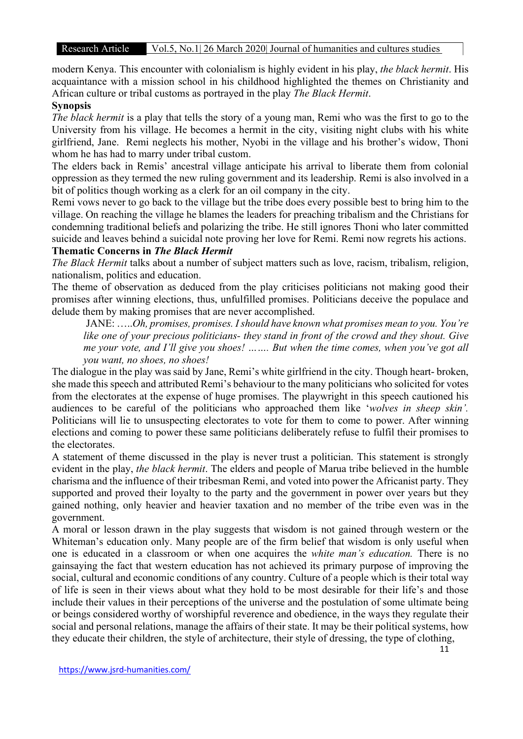modern Kenya. This encounter with colonialism is highly evident in his play, the black hermit. His acquaintance with a mission school in his childhood highlighted the themes on Christianity and African culture or tribal customs as portrayed in the play *The Black Hermit*.

#### **Synopsis**

The black hermit is a play that tells the story of a young man, Remi who was the first to go to the University from his village. He becomes a hermit in the city, visiting night clubs with his white girlfriend, Jane. Remi neglects his mother, Nyobi in the village and his brother's widow, Thoni whom he has had to marry under tribal custom.

The elders back in Remis' ancestral village anticipate his arrival to liberate them from colonial oppression as they termed the new ruling government and its leadership. Remi is also involved in a bit of politics though working as a clerk for an oil company in the city.

Remi vows never to go back to the village but the tribe does every possible best to bring him to the village. On reaching the village he blames the leaders for preaching tribalism and the Christians for condemning traditional beliefs and polarizing the tribe. He still ignores Thoni who later committed suicide and leaves behind a suicidal note proving her love for Remi. Remi now regrets his actions.

# Thematic Concerns in The Black Hermit

The Black Hermit talks about a number of subject matters such as love, racism, tribalism, religion, nationalism, politics and education.

The theme of observation as deduced from the play criticises politicians not making good their promises after winning elections, thus, unfulfilled promises. Politicians deceive the populace and delude them by making promises that are never accomplished.

 JANE: …..Oh, promises, promises. I should have known what promises mean to you. You're like one of your precious politicians- they stand in front of the crowd and they shout. Give me your vote, and I'll give you shoes! ……. But when the time comes, when you've got all you want, no shoes, no shoes!

The dialogue in the play was said by Jane, Remi's white girlfriend in the city. Though heart- broken, she made this speech and attributed Remi's behaviour to the many politicians who solicited for votes from the electorates at the expense of huge promises. The playwright in this speech cautioned his audiences to be careful of the politicians who approached them like 'wolves in sheep skin'. Politicians will lie to unsuspecting electorates to vote for them to come to power. After winning elections and coming to power these same politicians deliberately refuse to fulfil their promises to the electorates.

A statement of theme discussed in the play is never trust a politician. This statement is strongly evident in the play, the black hermit. The elders and people of Marua tribe believed in the humble charisma and the influence of their tribesman Remi, and voted into power the Africanist party. They supported and proved their loyalty to the party and the government in power over years but they gained nothing, only heavier and heavier taxation and no member of the tribe even was in the government.

A moral or lesson drawn in the play suggests that wisdom is not gained through western or the Whiteman's education only. Many people are of the firm belief that wisdom is only useful when one is educated in a classroom or when one acquires the white man's education. There is no gainsaying the fact that western education has not achieved its primary purpose of improving the social, cultural and economic conditions of any country. Culture of a people which is their total way of life is seen in their views about what they hold to be most desirable for their life's and those include their values in their perceptions of the universe and the postulation of some ultimate being or beings considered worthy of worshipful reverence and obedience, in the ways they regulate their social and personal relations, manage the affairs of their state. It may be their political systems, how they educate their children, the style of architecture, their style of dressing, the type of clothing,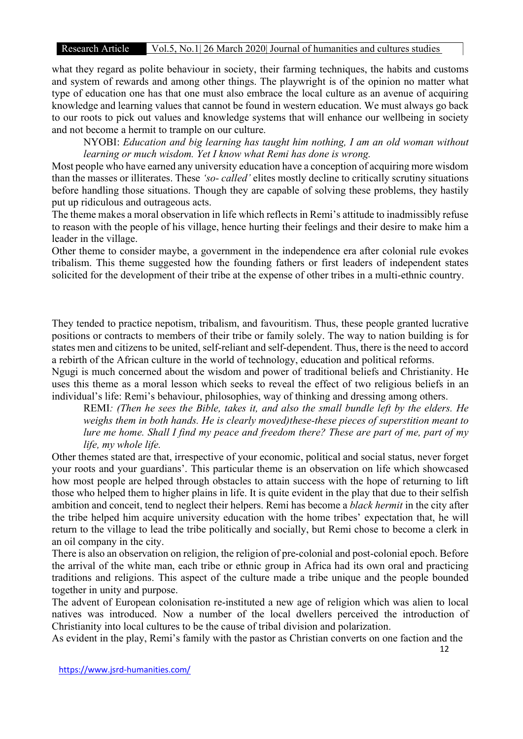# Research Article Vol.5, No.1| 26 March 2020| Journal of humanities and cultures studies

R&D what they regard as polite behaviour in society, their farming techniques, the habits and customs and system of rewards and among other things. The playwright is of the opinion no matter what type of education one has that one must also embrace the local culture as an avenue of acquiring knowledge and learning values that cannot be found in western education. We must always go back to our roots to pick out values and knowledge systems that will enhance our wellbeing in society and not become a hermit to trample on our culture.

NYOBI: Education and big learning has taught him nothing, I am an old woman without learning or much wisdom. Yet I know what Remi has done is wrong.

Most people who have earned any university education have a conception of acquiring more wisdom than the masses or illiterates. These 'so- called' elites mostly decline to critically scrutiny situations before handling those situations. Though they are capable of solving these problems, they hastily put up ridiculous and outrageous acts.

The theme makes a moral observation in life which reflects in Remi's attitude to inadmissibly refuse to reason with the people of his village, hence hurting their feelings and their desire to make him a leader in the village.

Other theme to consider maybe, a government in the independence era after colonial rule evokes tribalism. This theme suggested how the founding fathers or first leaders of independent states solicited for the development of their tribe at the expense of other tribes in a multi-ethnic country.

They tended to practice nepotism, tribalism, and favouritism. Thus, these people granted lucrative positions or contracts to members of their tribe or family solely. The way to nation building is for states men and citizens to be united, self-reliant and self-dependent. Thus, there is the need to accord a rebirth of the African culture in the world of technology, education and political reforms.

Ngugi is much concerned about the wisdom and power of traditional beliefs and Christianity. He uses this theme as a moral lesson which seeks to reveal the effect of two religious beliefs in an individual's life: Remi's behaviour, philosophies, way of thinking and dressing among others.

REMI: (Then he sees the Bible, takes it, and also the small bundle left by the elders. He weighs them in both hands. He is clearly moved)these-these pieces of superstition meant to lure me home. Shall I find my peace and freedom there? These are part of me, part of my life, my whole life.

Other themes stated are that, irrespective of your economic, political and social status, never forget your roots and your guardians'. This particular theme is an observation on life which showcased how most people are helped through obstacles to attain success with the hope of returning to lift those who helped them to higher plains in life. It is quite evident in the play that due to their selfish ambition and conceit, tend to neglect their helpers. Remi has become a *black hermit* in the city after the tribe helped him acquire university education with the home tribes' expectation that, he will return to the village to lead the tribe politically and socially, but Remi chose to become a clerk in an oil company in the city.

There is also an observation on religion, the religion of pre-colonial and post-colonial epoch. Before the arrival of the white man, each tribe or ethnic group in Africa had its own oral and practicing traditions and religions. This aspect of the culture made a tribe unique and the people bounded together in unity and purpose.

The advent of European colonisation re-instituted a new age of religion which was alien to local natives was introduced. Now a number of the local dwellers perceived the introduction of Christianity into local cultures to be the cause of tribal division and polarization.

As evident in the play, Remi's family with the pastor as Christian converts on one faction and the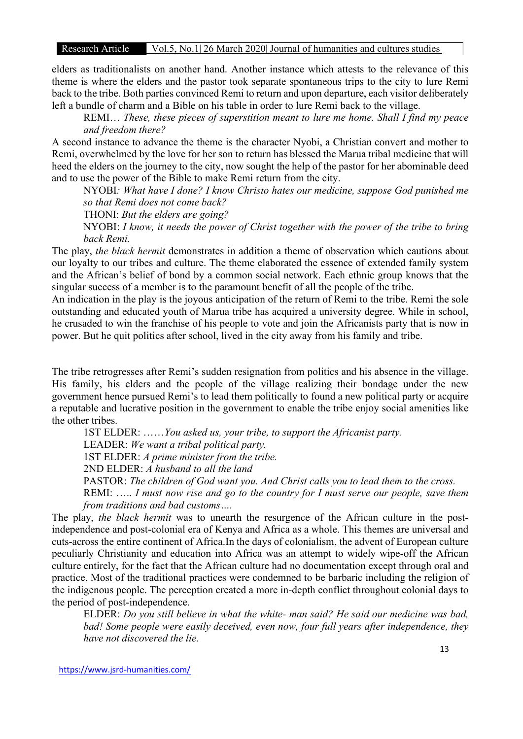#### Research Article Vol.5, No.1| 26 March 2020| Journal of humanities and cultures studies

elders as traditionalists on another hand. Another instance which attests to the relevance of this theme is where the elders and the pastor took separate spontaneous trips to the city to lure Remi back to the tribe. Both parties convinced Remi to return and upon departure, each visitor deliberately left a bundle of charm and a Bible on his table in order to lure Remi back to the village.

REMI... These, these pieces of superstition meant to lure me home. Shall I find my peace and freedom there?

A second instance to advance the theme is the character Nyobi, a Christian convert and mother to Remi, overwhelmed by the love for her son to return has blessed the Marua tribal medicine that will heed the elders on the journey to the city, now sought the help of the pastor for her abominable deed and to use the power of the Bible to make Remi return from the city.

NYOBI: What have I done? I know Christo hates our medicine, suppose God punished me so that Remi does not come back?

THONI: But the elders are going?

NYOBI: I know, it needs the power of Christ together with the power of the tribe to bring back Remi.

The play, the black hermit demonstrates in addition a theme of observation which cautions about our loyalty to our tribes and culture. The theme elaborated the essence of extended family system and the African's belief of bond by a common social network. Each ethnic group knows that the singular success of a member is to the paramount benefit of all the people of the tribe.

An indication in the play is the joyous anticipation of the return of Remi to the tribe. Remi the sole outstanding and educated youth of Marua tribe has acquired a university degree. While in school, he crusaded to win the franchise of his people to vote and join the Africanists party that is now in power. But he quit politics after school, lived in the city away from his family and tribe.

The tribe retrogresses after Remi's sudden resignation from politics and his absence in the village. His family, his elders and the people of the village realizing their bondage under the new government hence pursued Remi's to lead them politically to found a new political party or acquire a reputable and lucrative position in the government to enable the tribe enjoy social amenities like the other tribes.

1ST ELDER: ……You asked us, your tribe, to support the Africanist party.

LEADER: We want a tribal political party.

1ST ELDER: A prime minister from the tribe.

2ND ELDER: A husband to all the land

PASTOR: The children of God want you. And Christ calls you to lead them to the cross.

REMI: ..... I must now rise and go to the country for I must serve our people, save them from traditions and bad customs….

The play, the black hermit was to unearth the resurgence of the African culture in the postindependence and post-colonial era of Kenya and Africa as a whole. This themes are universal and cuts-across the entire continent of Africa.In the days of colonialism, the advent of European culture peculiarly Christianity and education into Africa was an attempt to widely wipe-off the African culture entirely, for the fact that the African culture had no documentation except through oral and practice. Most of the traditional practices were condemned to be barbaric including the religion of the indigenous people. The perception created a more in-depth conflict throughout colonial days to the period of post-independence.

ELDER: Do you still believe in what the white- man said? He said our medicine was bad, bad! Some people were easily deceived, even now, four full years after independence, they have not discovered the lie.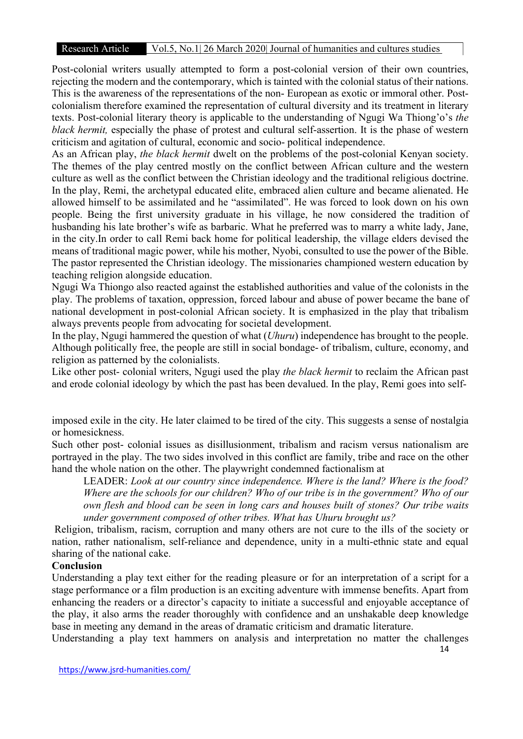#### Research Article Vol.5, No.1| 26 March 2020| Journal of humanities and cultures studies

R&D Post-colonial writers usually attempted to form a post-colonial version of their own countries, rejecting the modern and the contemporary, which is tainted with the colonial status of their nations. This is the awareness of the representations of the non- European as exotic or immoral other. Postcolonialism therefore examined the representation of cultural diversity and its treatment in literary texts. Post-colonial literary theory is applicable to the understanding of Ngugi Wa Thiong'o's the black hermit, especially the phase of protest and cultural self-assertion. It is the phase of western criticism and agitation of cultural, economic and socio- political independence.

As an African play, the black hermit dwelt on the problems of the post-colonial Kenyan society. The themes of the play centred mostly on the conflict between African culture and the western culture as well as the conflict between the Christian ideology and the traditional religious doctrine. In the play, Remi, the archetypal educated elite, embraced alien culture and became alienated. He allowed himself to be assimilated and he "assimilated". He was forced to look down on his own people. Being the first university graduate in his village, he now considered the tradition of husbanding his late brother's wife as barbaric. What he preferred was to marry a white lady, Jane, in the city.In order to call Remi back home for political leadership, the village elders devised the means of traditional magic power, while his mother, Nyobi, consulted to use the power of the Bible. The pastor represented the Christian ideology. The missionaries championed western education by teaching religion alongside education.

Ngugi Wa Thiongo also reacted against the established authorities and value of the colonists in the play. The problems of taxation, oppression, forced labour and abuse of power became the bane of national development in post-colonial African society. It is emphasized in the play that tribalism always prevents people from advocating for societal development.

In the play, Ngugi hammered the question of what (Uhuru) independence has brought to the people. Although politically free, the people are still in social bondage- of tribalism, culture, economy, and religion as patterned by the colonialists.

Like other post- colonial writers, Ngugi used the play the black hermit to reclaim the African past and erode colonial ideology by which the past has been devalued. In the play, Remi goes into self-

imposed exile in the city. He later claimed to be tired of the city. This suggests a sense of nostalgia or homesickness.

Such other post- colonial issues as disillusionment, tribalism and racism versus nationalism are portrayed in the play. The two sides involved in this conflict are family, tribe and race on the other hand the whole nation on the other. The playwright condemned factionalism at

LEADER: Look at our country since independence. Where is the land? Where is the food? Where are the schools for our children? Who of our tribe is in the government? Who of our own flesh and blood can be seen in long cars and houses built of stones? Our tribe waits under government composed of other tribes. What has Uhuru brought us?

 Religion, tribalism, racism, corruption and many others are not cure to the ills of the society or nation, rather nationalism, self-reliance and dependence, unity in a multi-ethnic state and equal sharing of the national cake.

#### Conclusion

Understanding a play text either for the reading pleasure or for an interpretation of a script for a stage performance or a film production is an exciting adventure with immense benefits. Apart from enhancing the readers or a director's capacity to initiate a successful and enjoyable acceptance of the play, it also arms the reader thoroughly with confidence and an unshakable deep knowledge base in meeting any demand in the areas of dramatic criticism and dramatic literature.

14 Understanding a play text hammers on analysis and interpretation no matter the challenges